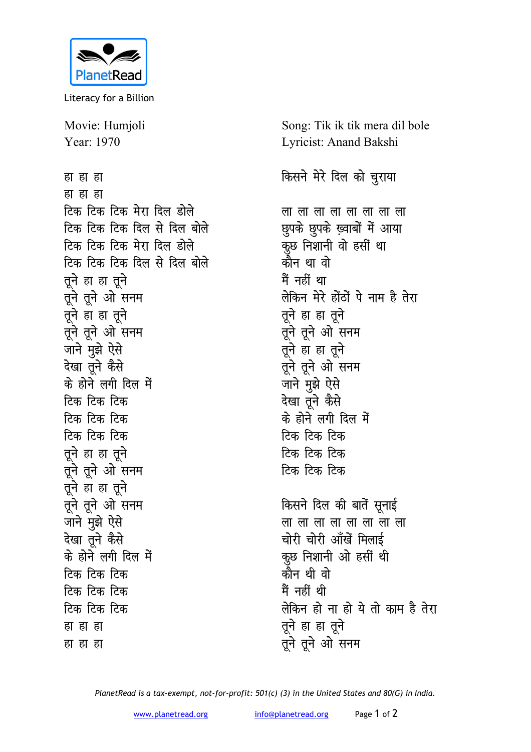

Literacy for a Billion

Movie: Humjoli Year: 1970

हा हा हा हा हा हा टिक टिक टिक मेरा दिल डोले टिक टिक टिक दिल से दिल बोले टिक टिक टिक मेरा दिल डोले टिक टिक टिक दिल से दिल बोले तुने हा हा तुने तूने तूने ओ सनम तूने हा हा तूने तूने तूने ओ सनम जाने मुझे ऐसे देखा तने कैसे के होने लगी दिल में टिक टिक टिक टिक टिक टिक टिक टिक टिक तूने हा हा तूने तूने तूने ओ सनम तूने हा हा तूने तूने तूने ओ सनम जाने मुझे ऐसे देखा तूने कैसे के होने लगी दिल में टिक टिक टिक टिक टिक टिक टिक टिक टिक हा हा हा हा हा हा

Song: Tik ik tik mera dil bole Lyricist: Anand Bakshi

किसने मेरे दिल को चुराया

लालालालालालालाला छुपके छुपके ख़्वाबों में आया कूछ निशानी वो हसीं था कौन था वो <u>मैं नहीं था</u> लेकिन मेरे होंठों पे नाम है तेरा तूने हा हा तूने तूने तूने ओ सनम तूने हा हा तूने तूने तूने ओ सनम जाने मुझे ऐसे देखा तुने कैसे के होने लगी दिल में टिक टिक टिक टिक टिक टिक टिक टिक टिक किसने दिल की बातें सूनाई लालालालालालालाला चोरी चोरी आँखें मिलाई

कूछ निशानी ओ हसीं थी कौन थी वो मैं नहीं थी लेकिन हो ना हो ये तो काम है तेरा तूने हा हा तूने तूने तूने ओ सनम

PlanetRead is a tax-exempt, not-for-profit: 501(c) (3) in the United States and 80(G) in India.